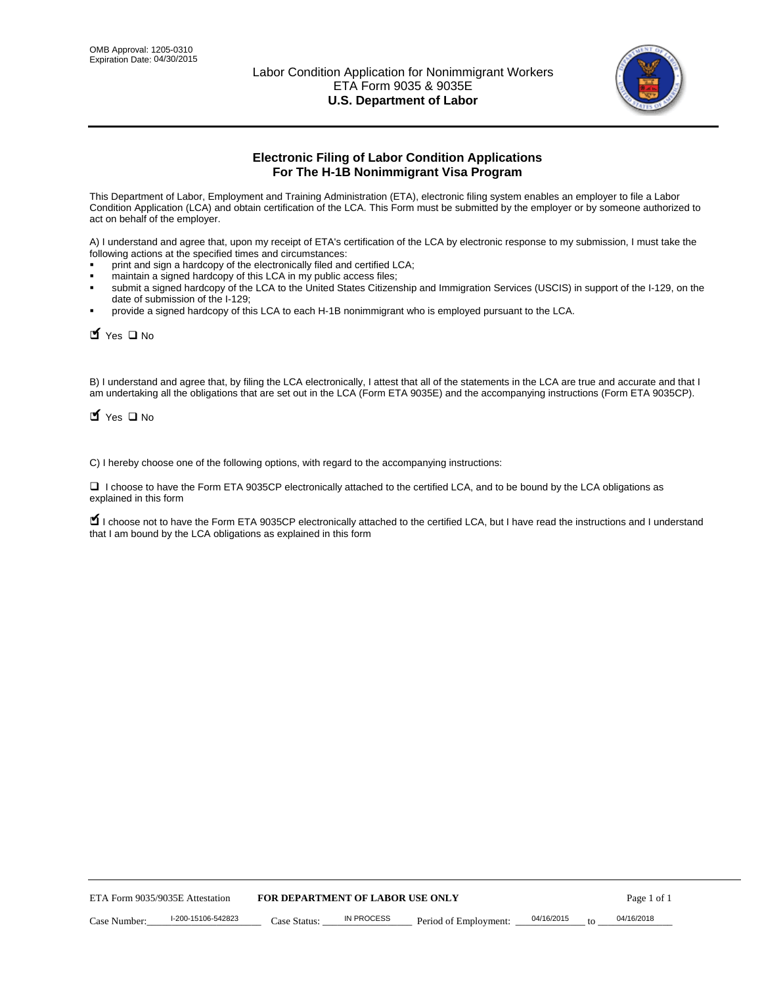

# **Electronic Filing of Labor Condition Applications For The H-1B Nonimmigrant Visa Program**

This Department of Labor, Employment and Training Administration (ETA), electronic filing system enables an employer to file a Labor Condition Application (LCA) and obtain certification of the LCA. This Form must be submitted by the employer or by someone authorized to act on behalf of the employer.

A) I understand and agree that, upon my receipt of ETA's certification of the LCA by electronic response to my submission, I must take the following actions at the specified times and circumstances:

- print and sign a hardcopy of the electronically filed and certified LCA;
- maintain a signed hardcopy of this LCA in my public access files;
- submit a signed hardcopy of the LCA to the United States Citizenship and Immigration Services (USCIS) in support of the I-129, on the date of submission of the I-129;
- provide a signed hardcopy of this LCA to each H-1B nonimmigrant who is employed pursuant to the LCA.

| Yes II No                       |                                                                  |                                  |                   |                                                                                                                                                                                                                                                                                     |            |    |             |
|---------------------------------|------------------------------------------------------------------|----------------------------------|-------------------|-------------------------------------------------------------------------------------------------------------------------------------------------------------------------------------------------------------------------------------------------------------------------------------|------------|----|-------------|
| $\blacksquare$ Yes $\square$ No |                                                                  |                                  |                   | B) I understand and agree that, by filing the LCA electronically, I attest that all of the statements in the LCA are true and accurate and th<br>am undertaking all the obligations that are set out in the LCA (Form ETA 9035E) and the accompanying instructions (Form ETA 9035CI |            |    |             |
|                                 |                                                                  |                                  |                   | C) I hereby choose one of the following options, with regard to the accompanying instructions:                                                                                                                                                                                      |            |    |             |
| explained in this form          |                                                                  |                                  |                   | □ I choose to have the Form ETA 9035CP electronically attached to the certified LCA, and to be bound by the LCA obligations as                                                                                                                                                      |            |    |             |
|                                 | that I am bound by the LCA obligations as explained in this form |                                  |                   | I choose not to have the Form ETA 9035CP electronically attached to the certified LCA, but I have read the instructions and I unders                                                                                                                                                |            |    |             |
|                                 |                                                                  |                                  |                   |                                                                                                                                                                                                                                                                                     |            |    |             |
|                                 |                                                                  |                                  |                   |                                                                                                                                                                                                                                                                                     |            |    |             |
|                                 |                                                                  |                                  |                   |                                                                                                                                                                                                                                                                                     |            |    |             |
|                                 |                                                                  |                                  |                   |                                                                                                                                                                                                                                                                                     |            |    |             |
|                                 |                                                                  |                                  |                   |                                                                                                                                                                                                                                                                                     |            |    |             |
|                                 |                                                                  |                                  |                   |                                                                                                                                                                                                                                                                                     |            |    |             |
|                                 |                                                                  |                                  |                   |                                                                                                                                                                                                                                                                                     |            |    |             |
|                                 |                                                                  |                                  |                   |                                                                                                                                                                                                                                                                                     |            |    |             |
|                                 |                                                                  |                                  |                   |                                                                                                                                                                                                                                                                                     |            |    |             |
|                                 |                                                                  |                                  |                   |                                                                                                                                                                                                                                                                                     |            |    |             |
|                                 | ETA Form 9035/9035E Attestation                                  | FOR DEPARTMENT OF LABOR USE ONLY |                   |                                                                                                                                                                                                                                                                                     |            |    | Page 1 of 1 |
| Case Number:                    | I-200-15106-542823                                               | Case Status:                     | <b>IN PROCESS</b> | Period of Employment:                                                                                                                                                                                                                                                               | 04/16/2015 | to | 04/16/2018  |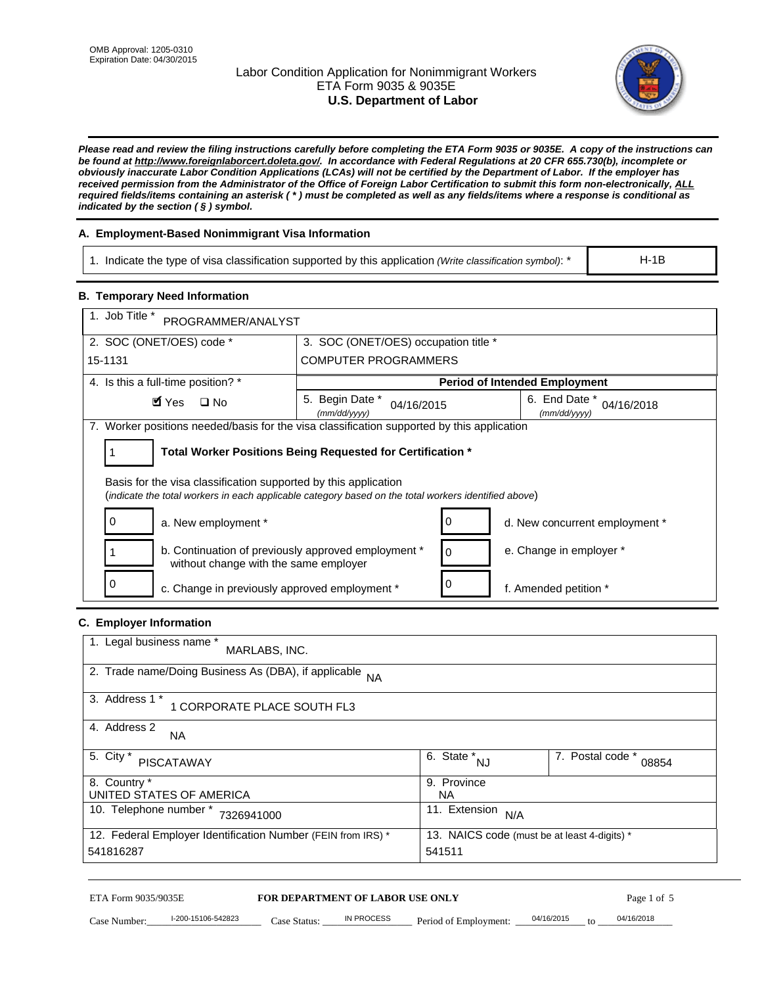# Labor Condition Application for Nonimmigrant Workers ETA Form 9035 & 9035E **U.S. Department of Labor**



*Please read and review the filing instructions carefully before completing the ETA Form 9035 or 9035E. A copy of the instructions can be found at http://www.foreignlaborcert.doleta.gov/. In accordance with Federal Regulations at 20 CFR 655.730(b), incomplete or obviously inaccurate Labor Condition Applications (LCAs) will not be certified by the Department of Labor. If the employer has received permission from the Administrator of the Office of Foreign Labor Certification to submit this form non-electronically, ALL required fields/items containing an asterisk ( \* ) must be completed as well as any fields/items where a response is conditional as indicated by the section ( § ) symbol.* 

# **A. Employment-Based Nonimmigrant Visa Information**

1. Indicate the type of visa classification supported by this application *(Write classification symbol)*: \*

# **B. Temporary Need Information**

| 1. Indicate the type of visa classification supported by this application (Write classification symbol): *                                                              |                                                                        |                                      |                                              | $H-1B$                         |
|-------------------------------------------------------------------------------------------------------------------------------------------------------------------------|------------------------------------------------------------------------|--------------------------------------|----------------------------------------------|--------------------------------|
| <b>B. Temporary Need Information</b>                                                                                                                                    |                                                                        |                                      |                                              |                                |
| 1. Job Title *<br>PROGRAMMER/ANALYST                                                                                                                                    |                                                                        |                                      |                                              |                                |
| 2. SOC (ONET/OES) code *                                                                                                                                                | 3. SOC (ONET/OES) occupation title *                                   |                                      |                                              |                                |
| 15-1131                                                                                                                                                                 | <b>COMPUTER PROGRAMMERS</b>                                            |                                      |                                              |                                |
| 4. Is this a full-time position? *                                                                                                                                      |                                                                        |                                      | <b>Period of Intended Employment</b>         |                                |
| $\blacksquare$ Yes<br>$\square$ No                                                                                                                                      | 5. Begin Date *<br>(mm/dd/yyyy)                                        | 04/16/2015                           | 6. End Date *<br>(mm/dd/yyyy)                | 04/16/2018                     |
| 7. Worker positions needed/basis for the visa classification supported by this application                                                                              |                                                                        |                                      |                                              |                                |
| Total Worker Positions Being Requested for Certification *<br>1                                                                                                         |                                                                        |                                      |                                              |                                |
| Basis for the visa classification supported by this application<br>(indicate the total workers in each applicable category based on the total workers identified above) |                                                                        |                                      |                                              |                                |
| 0<br>a. New employment *                                                                                                                                                |                                                                        | 0                                    |                                              | d. New concurrent employment * |
| b. Continuation of previously approved employment *<br>without change with the same employer                                                                            |                                                                        | 0                                    | e. Change in employer *                      |                                |
| 0<br>c. Change in previously approved employment *                                                                                                                      |                                                                        | 0                                    | f. Amended petition *                        |                                |
| C. Employer Information                                                                                                                                                 |                                                                        |                                      |                                              |                                |
| 1. Legal business name *<br>MARLABS, INC.                                                                                                                               |                                                                        |                                      |                                              |                                |
| 2. Trade name/Doing Business As (DBA), if applicable                                                                                                                    | <b>NA</b>                                                              |                                      |                                              |                                |
| 3. Address 1 *<br>1 CORPORATE PLACE SOUTH FL3                                                                                                                           |                                                                        |                                      |                                              |                                |
| 4. Address 2<br>NA.                                                                                                                                                     |                                                                        |                                      |                                              |                                |
| 5. City $*$<br><b>PISCATAWAY</b>                                                                                                                                        |                                                                        | $\overline{6. \text{ State}}^*_{NJ}$ |                                              | 7. Postal code *<br>08854      |
| 8. Country *<br>UNITED STATES OF AMERICA                                                                                                                                |                                                                        | 9. Province<br><b>NA</b>             |                                              |                                |
| 10. Telephone number * 7326941000                                                                                                                                       |                                                                        | 11. Extension $N/A$                  |                                              |                                |
| 12. Federal Employer Identification Number (FEIN from IRS) *<br>541816287                                                                                               |                                                                        | 541511                               | 13. NAICS code (must be at least 4-digits) * |                                |
| ETA Form 9035/9035E<br>I-200-15106-542823<br>Case Number:                                                                                                               | <b>FOR DEPARTMENT OF LABOR USE ONLY</b><br>IN PROCESS<br>$Case$ Statue | Period of Employment:                | 04/16/2015                                   | Page 1 of 5<br>04/16/2018      |

# **C. Employer Information**

| 1. Legal business name *<br>MARLABS, INC.                    |                                              |                           |  |
|--------------------------------------------------------------|----------------------------------------------|---------------------------|--|
| 2. Trade name/Doing Business As (DBA), if applicable NA      |                                              |                           |  |
| 3. Address 1 *<br>1 CORPORATE PLACE SOUTH FL3                |                                              |                           |  |
| 4. Address 2<br><b>NA</b>                                    |                                              |                           |  |
| 5. City *<br>PISCATAWAY                                      | 6. State *<br>NJ                             | 7. Postal code *<br>08854 |  |
| 8. Country *                                                 | 9. Province                                  |                           |  |
| UNITED STATES OF AMERICA                                     | NA.                                          |                           |  |
| 10. Telephone number *<br>7326941000                         | 11. Extension<br>N/A                         |                           |  |
| 12. Federal Employer Identification Number (FEIN from IRS) * | 13. NAICS code (must be at least 4-digits) * |                           |  |
| 541816287                                                    | 541511                                       |                           |  |

# ETA Form 9035/9035E **FOR DEPARTMENT OF LABOR USE ONLY** Page 1 of 5<br>Case Number: 1-200-15106-542823 Case Status: IN PROCESS Period of Employment: 04/16/2015 to 04/16/2018

Case Number:  $\frac{1-200-15106-542823}{20}$  Case Status:  $\frac{1}{2}$  IN PROCESS Period of Employment:  $\frac{04/16/2015}{20}$  to  $\frac{0.04/16/2018}{20}$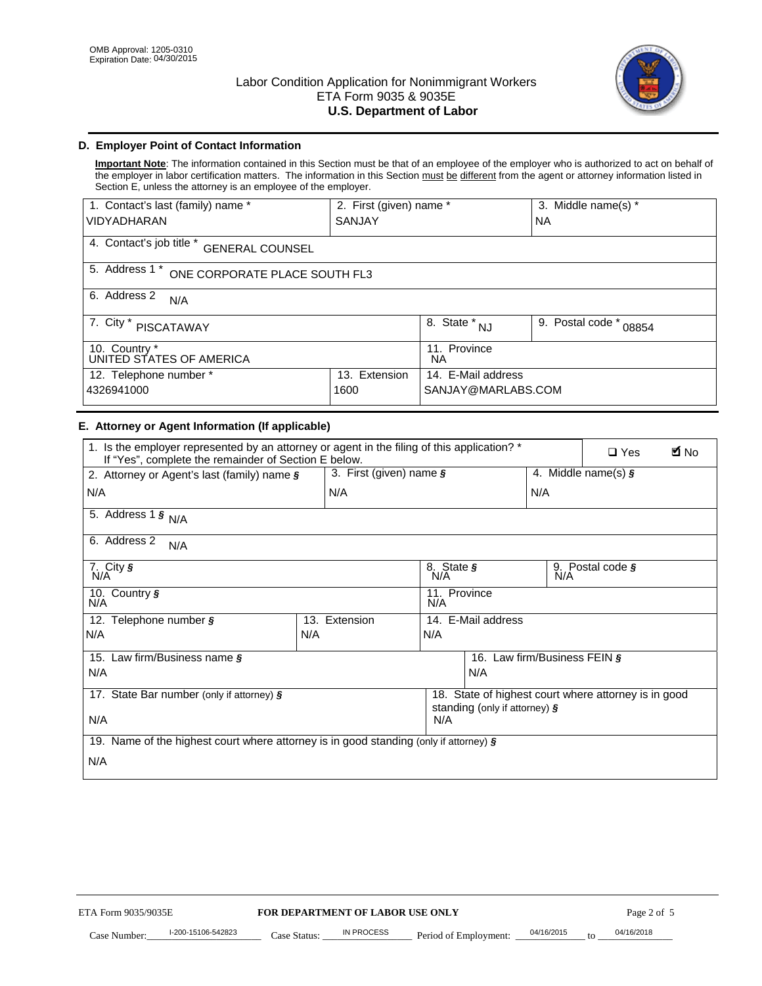

# **D. Employer Point of Contact Information**

**Important Note**: The information contained in this Section must be that of an employee of the employer who is authorized to act on behalf of the employer in labor certification matters. The information in this Section must be different from the agent or attorney information listed in Section E, unless the attorney is an employee of the employer.

| 1. Contact's last (family) name *                  | 2. First (given) name *          |                           | 3. Middle name(s) * |  |  |
|----------------------------------------------------|----------------------------------|---------------------------|---------------------|--|--|
| <b>VIDYADHARAN</b>                                 | <b>SANJAY</b>                    |                           | <b>NA</b>           |  |  |
| 4. Contact's job title *<br><b>GENERAL COUNSEL</b> |                                  |                           |                     |  |  |
| 5. Address 1 *<br>ONE CORPORATE PLACE SOUTH FL3    |                                  |                           |                     |  |  |
| 6. Address 2<br>N/A                                |                                  |                           |                     |  |  |
| 7. City $*$<br><b>PISCATAWAY</b>                   | $\overline{8}$ . State $*$<br>NJ | 9. Postal code *<br>08854 |                     |  |  |
| 10. Country *<br>UNITED STATES OF AMERICA          | 11. Province<br>ΝA               |                           |                     |  |  |
| Extension<br>12. Telephone number *<br>13.         |                                  | 14. E-Mail address        |                     |  |  |
| 4326941000<br>1600                                 |                                  | SANJAY@MARLABS.COM        |                     |  |  |

# **E. Attorney or Agent Information (If applicable)**

| VIDYADHARAN                                                                                                                                         | SANJAY                           |                                                                                       |                                          | <b>NA</b>        |                              |             |
|-----------------------------------------------------------------------------------------------------------------------------------------------------|----------------------------------|---------------------------------------------------------------------------------------|------------------------------------------|------------------|------------------------------|-------------|
| 4. Contact's job title * GENERAL COUNSEL                                                                                                            |                                  |                                                                                       |                                          |                  |                              |             |
| 5. Address 1 * ONE CORPORATE PLACE SOUTH FL3                                                                                                        |                                  |                                                                                       |                                          |                  |                              |             |
| 6. Address 2<br>N/A                                                                                                                                 |                                  |                                                                                       |                                          |                  |                              |             |
| 7. City * PISCATAWAY                                                                                                                                |                                  |                                                                                       | 8. State $*_{NJ}$                        | 9. Postal code * | 08854                        |             |
| 10. Country *<br>UNITED STATES OF AMERICA                                                                                                           |                                  | 11. Province<br><b>NA</b>                                                             |                                          |                  |                              |             |
| 12. Telephone number *<br>4326941000                                                                                                                | 13. Extension<br>1600            |                                                                                       | 14. E-Mail address<br>SANJAY@MARLABS.COM |                  |                              |             |
| E. Attorney or Agent Information (If applicable)                                                                                                    |                                  |                                                                                       |                                          |                  |                              |             |
| 1. Is the employer represented by an attorney or agent in the filing of this application? *<br>If "Yes", complete the remainder of Section E below. |                                  |                                                                                       |                                          |                  | $\Box$ Yes                   | <b>A</b> No |
| 2. Attorney or Agent's last (family) name §                                                                                                         | 3. First (given) name §          |                                                                                       |                                          |                  | 4. Middle name(s) $\sqrt{s}$ |             |
| N/A                                                                                                                                                 | N/A                              |                                                                                       |                                          | N/A              |                              |             |
| 5. Address 1 $\frac{1}{9}$ N/A                                                                                                                      |                                  |                                                                                       |                                          |                  |                              |             |
| 6. Address 2<br>N/A                                                                                                                                 |                                  |                                                                                       |                                          |                  |                              |             |
| 7. City §<br>N/A                                                                                                                                    |                                  | 8. State §<br>N/A                                                                     |                                          |                  | 9. Postal code §             |             |
| 10. Country §<br>N/A                                                                                                                                |                                  | 11. Province<br>N/A                                                                   |                                          |                  |                              |             |
| 12. Telephone number §                                                                                                                              | 13. Extension                    | 14. E-Mail address                                                                    |                                          |                  |                              |             |
| N/A                                                                                                                                                 | N/A                              | N/A                                                                                   |                                          |                  |                              |             |
| 15. Law firm/Business name §                                                                                                                        |                                  |                                                                                       | 16. Law firm/Business FEIN §             |                  |                              |             |
| N/A                                                                                                                                                 |                                  | N/A                                                                                   |                                          |                  |                              |             |
| 17. State Bar number (only if attorney) §                                                                                                           |                                  | 18. State of highest court where attorney is in good<br>standing (only if attorney) § |                                          |                  |                              |             |
| N/A                                                                                                                                                 |                                  | N/A                                                                                   |                                          |                  |                              |             |
| 19. Name of the highest court where attorney is in good standing (only if attorney) §                                                               |                                  |                                                                                       |                                          |                  |                              |             |
| N/A                                                                                                                                                 |                                  |                                                                                       |                                          |                  |                              |             |
|                                                                                                                                                     |                                  |                                                                                       |                                          |                  |                              |             |
|                                                                                                                                                     |                                  |                                                                                       |                                          |                  |                              |             |
|                                                                                                                                                     |                                  |                                                                                       |                                          |                  |                              |             |
|                                                                                                                                                     |                                  |                                                                                       |                                          |                  |                              |             |
|                                                                                                                                                     |                                  |                                                                                       |                                          |                  |                              |             |
|                                                                                                                                                     |                                  |                                                                                       |                                          |                  |                              |             |
|                                                                                                                                                     |                                  |                                                                                       |                                          |                  |                              |             |
| ETA Form 9035/9035E                                                                                                                                 | FOR DEPARTMENT OF LABOR USE ONLY |                                                                                       |                                          |                  | Page 2 of 5                  |             |
| I-200-15106-542823                                                                                                                                  | <b>IN PROCESS</b>                |                                                                                       |                                          | 04/16/2015       | 04/16/2018                   |             |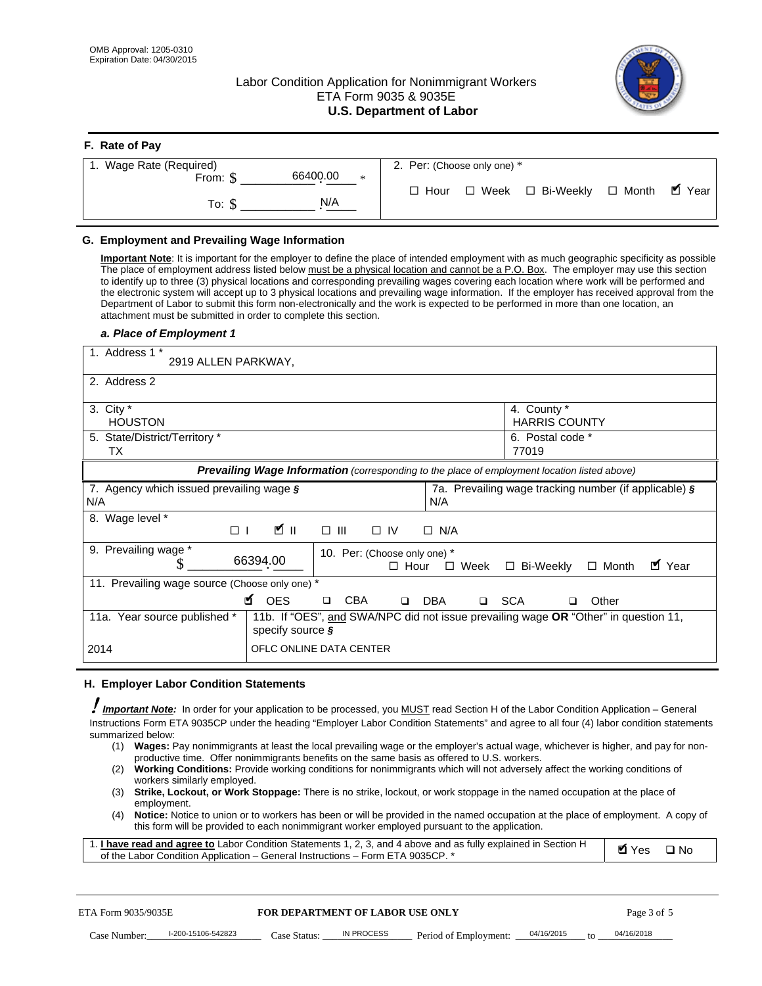# Labor Condition Application for Nonimmigrant Workers ETA Form 9035 & 9035E **U.S. Department of Labor**



| F. Rate of Pay          |        |                                           |        |
|-------------------------|--------|-------------------------------------------|--------|
| 1. Wage Rate (Required) |        | 2. Per: (Choose only one) *               |        |
| 66400.00<br>From: \$    | $\ast$ |                                           |        |
| N/A<br>To: S            |        | □ Week □ Bi-Weekly □ Month<br>$\Box$ Hour | ■ Year |

### **G. Employment and Prevailing Wage Information**

#### *a. Place of Employment 1*

|     | From: \$                                                                                                                                                                                                                                                                                                                                                                                                                                                                                                                                                                                                                                                                                                                                                               | 66400.00<br>$\ast$                                                                                                                                                                                                                                                                                                                                                                                                                                                                                                                                                                                                                                                                                                                |             | $\Box$ Hour | $\Box$ Week           | □ Bi-Weekly                                             |              | $\Box$ Month | $\blacksquare$ Year |
|-----|------------------------------------------------------------------------------------------------------------------------------------------------------------------------------------------------------------------------------------------------------------------------------------------------------------------------------------------------------------------------------------------------------------------------------------------------------------------------------------------------------------------------------------------------------------------------------------------------------------------------------------------------------------------------------------------------------------------------------------------------------------------------|-----------------------------------------------------------------------------------------------------------------------------------------------------------------------------------------------------------------------------------------------------------------------------------------------------------------------------------------------------------------------------------------------------------------------------------------------------------------------------------------------------------------------------------------------------------------------------------------------------------------------------------------------------------------------------------------------------------------------------------|-------------|-------------|-----------------------|---------------------------------------------------------|--------------|--------------|---------------------|
|     | To: $$$                                                                                                                                                                                                                                                                                                                                                                                                                                                                                                                                                                                                                                                                                                                                                                | N/A                                                                                                                                                                                                                                                                                                                                                                                                                                                                                                                                                                                                                                                                                                                               |             |             |                       |                                                         |              |              |                     |
|     | G. Employment and Prevailing Wage Information<br>Important Note: It is important for the employer to define the place of intended employment with as much geographic specificity as possible<br>The place of employment address listed below must be a physical location and cannot be a P.O. Box. The employer may use this section<br>to identify up to three (3) physical locations and corresponding prevailing wages covering each location where work will be performed and<br>the electronic system will accept up to 3 physical locations and prevailing wage information. If the employer has received approval from the<br>Department of Labor to submit this form non-electronically and the work is expected to be performed in more than one location, an |                                                                                                                                                                                                                                                                                                                                                                                                                                                                                                                                                                                                                                                                                                                                   |             |             |                       |                                                         |              |              |                     |
|     | attachment must be submitted in order to complete this section.<br>a. Place of Employment 1                                                                                                                                                                                                                                                                                                                                                                                                                                                                                                                                                                                                                                                                            |                                                                                                                                                                                                                                                                                                                                                                                                                                                                                                                                                                                                                                                                                                                                   |             |             |                       |                                                         |              |              |                     |
|     | 1. Address 1 *<br>2919 ALLEN PARKWAY,                                                                                                                                                                                                                                                                                                                                                                                                                                                                                                                                                                                                                                                                                                                                  |                                                                                                                                                                                                                                                                                                                                                                                                                                                                                                                                                                                                                                                                                                                                   |             |             |                       |                                                         |              |              |                     |
|     | 2. Address 2                                                                                                                                                                                                                                                                                                                                                                                                                                                                                                                                                                                                                                                                                                                                                           |                                                                                                                                                                                                                                                                                                                                                                                                                                                                                                                                                                                                                                                                                                                                   |             |             |                       |                                                         |              |              |                     |
|     | 3. City $*$<br><b>HOUSTON</b><br>5. State/District/Territory *                                                                                                                                                                                                                                                                                                                                                                                                                                                                                                                                                                                                                                                                                                         |                                                                                                                                                                                                                                                                                                                                                                                                                                                                                                                                                                                                                                                                                                                                   |             |             |                       | 4. County *<br><b>HARRIS COUNTY</b><br>6. Postal code * |              |              |                     |
|     | ТX                                                                                                                                                                                                                                                                                                                                                                                                                                                                                                                                                                                                                                                                                                                                                                     |                                                                                                                                                                                                                                                                                                                                                                                                                                                                                                                                                                                                                                                                                                                                   |             |             |                       | 77019                                                   |              |              |                     |
|     |                                                                                                                                                                                                                                                                                                                                                                                                                                                                                                                                                                                                                                                                                                                                                                        | Prevailing Wage Information (corresponding to the place of employment location listed above)                                                                                                                                                                                                                                                                                                                                                                                                                                                                                                                                                                                                                                      |             |             |                       |                                                         |              |              |                     |
| N/A | 7. Agency which issued prevailing wage §                                                                                                                                                                                                                                                                                                                                                                                                                                                                                                                                                                                                                                                                                                                               |                                                                                                                                                                                                                                                                                                                                                                                                                                                                                                                                                                                                                                                                                                                                   |             | N/A         |                       | 7a. Prevailing wage tracking number (if applicable) §   |              |              |                     |
|     | 8. Wage level *<br>$\Box$                                                                                                                                                                                                                                                                                                                                                                                                                                                                                                                                                                                                                                                                                                                                              | <b>M</b><br>$\Box$<br>III                                                                                                                                                                                                                                                                                                                                                                                                                                                                                                                                                                                                                                                                                                         | $\Box$ IV   | $\Box$ N/A  |                       |                                                         |              |              |                     |
|     | 9. Prevailing wage *<br>\$                                                                                                                                                                                                                                                                                                                                                                                                                                                                                                                                                                                                                                                                                                                                             | 10. Per: (Choose only one) *<br>66394.00                                                                                                                                                                                                                                                                                                                                                                                                                                                                                                                                                                                                                                                                                          | $\Box$ Hour |             | $\square$ Week        | □ Bi-Weekly                                             | $\Box$ Month |              | ■ Year              |
|     | 11. Prevailing wage source (Choose only one) *                                                                                                                                                                                                                                                                                                                                                                                                                                                                                                                                                                                                                                                                                                                         | <b>¤</b> OES<br><b>CBA</b>                                                                                                                                                                                                                                                                                                                                                                                                                                                                                                                                                                                                                                                                                                        | $\Box$      | <b>DBA</b>  | □ SCA                 |                                                         | Other        |              |                     |
|     | 11a. Year source published *                                                                                                                                                                                                                                                                                                                                                                                                                                                                                                                                                                                                                                                                                                                                           | 11b. If "OES", and SWA/NPC did not issue prevailing wage OR "Other" in question 11,<br>specify source $\boldsymbol{\S}$                                                                                                                                                                                                                                                                                                                                                                                                                                                                                                                                                                                                           |             |             |                       |                                                         |              |              |                     |
|     | 2014                                                                                                                                                                                                                                                                                                                                                                                                                                                                                                                                                                                                                                                                                                                                                                   | OFLC ONLINE DATA CENTER                                                                                                                                                                                                                                                                                                                                                                                                                                                                                                                                                                                                                                                                                                           |             |             |                       |                                                         |              |              |                     |
|     | H. Employer Labor Condition Statements                                                                                                                                                                                                                                                                                                                                                                                                                                                                                                                                                                                                                                                                                                                                 |                                                                                                                                                                                                                                                                                                                                                                                                                                                                                                                                                                                                                                                                                                                                   |             |             |                       |                                                         |              |              |                     |
|     | I Important Note: In order for your application to be processed, you MUST read Section H of the Labor Condition Application – General<br>Instructions Form ETA 9035CP under the heading "Employer Labor Condition Statements" and agree to all four (4) labor condition statements<br>summarized below:<br>(2)<br>workers similarly employed.<br>(3)<br>employment.<br>(4)<br>1. I have read and agree to Labor Condition Statements 1, 2, 3, and 4 above and as fully explained in Section H<br>of the Labor Condition Application - General Instructions - Form ETA 9035CP. *                                                                                                                                                                                        | (1) Wages: Pay nonimmigrants at least the local prevailing wage or the employer's actual wage, whichever is higher, and pay for non-<br>productive time. Offer nonimmigrants benefits on the same basis as offered to U.S. workers.<br>Working Conditions: Provide working conditions for nonimmigrants which will not adversely affect the working conditions of<br>Strike, Lockout, or Work Stoppage: There is no strike, lockout, or work stoppage in the named occupation at the place of<br>Notice: Notice to union or to workers has been or will be provided in the named occupation at the place of employment. A copy of<br>this form will be provided to each nonimmigrant worker employed pursuant to the application. |             |             |                       |                                                         |              | <b>Ø</b> Yes | $\square$ No        |
|     | ETA Form 9035/9035E                                                                                                                                                                                                                                                                                                                                                                                                                                                                                                                                                                                                                                                                                                                                                    | <b>FOR DEPARTMENT OF LABOR USE ONLY</b>                                                                                                                                                                                                                                                                                                                                                                                                                                                                                                                                                                                                                                                                                           |             |             |                       |                                                         |              | Page 3 of 5  |                     |
|     | I-200-15106-542823<br>Case Number:                                                                                                                                                                                                                                                                                                                                                                                                                                                                                                                                                                                                                                                                                                                                     | <b>IN PROCESS</b><br>Case Status:                                                                                                                                                                                                                                                                                                                                                                                                                                                                                                                                                                                                                                                                                                 |             |             | Period of Employment: | 04/16/2015                                              |              | 04/16/2018   |                     |

#### **H. Employer Labor Condition Statements**

- (1) **Wages:** Pay nonimmigrants at least the local prevailing wage or the employer's actual wage, whichever is higher, and pay for nonproductive time. Offer nonimmigrants benefits on the same basis as offered to U.S. workers.
- (2) **Working Conditions:** Provide working conditions for nonimmigrants which will not adversely affect the working conditions of workers similarly employed.
- (3) **Strike, Lockout, or Work Stoppage:** There is no strike, lockout, or work stoppage in the named occupation at the place of employment.
- (4) **Notice:** Notice to union or to workers has been or will be provided in the named occupation at the place of employment. A copy of this form will be provided to each nonimmigrant worker employed pursuant to the application.

| 1. I have read and agree to Labor Condition Statements 1, 2, 3, and 4 above and as fully explained in Section H | $\blacksquare$ Yes $\square$ No |  |
|-----------------------------------------------------------------------------------------------------------------|---------------------------------|--|
| of the Labor Condition Application – General Instructions – Form ETA 9035CP. *                                  |                                 |  |

| ETA Form 9035/9035E |                    | <b>FOR DEPARTMENT OF LABOR USE ONLY</b> |            |                                    |  | Page 3 of 5     |            |  |
|---------------------|--------------------|-----------------------------------------|------------|------------------------------------|--|-----------------|------------|--|
| Case Number:        | I-200-15106-542823 | Case Status:                            | IN PROCESS | Period of Employment: _ 04/16/2015 |  | $\overline{10}$ | 04/16/2018 |  |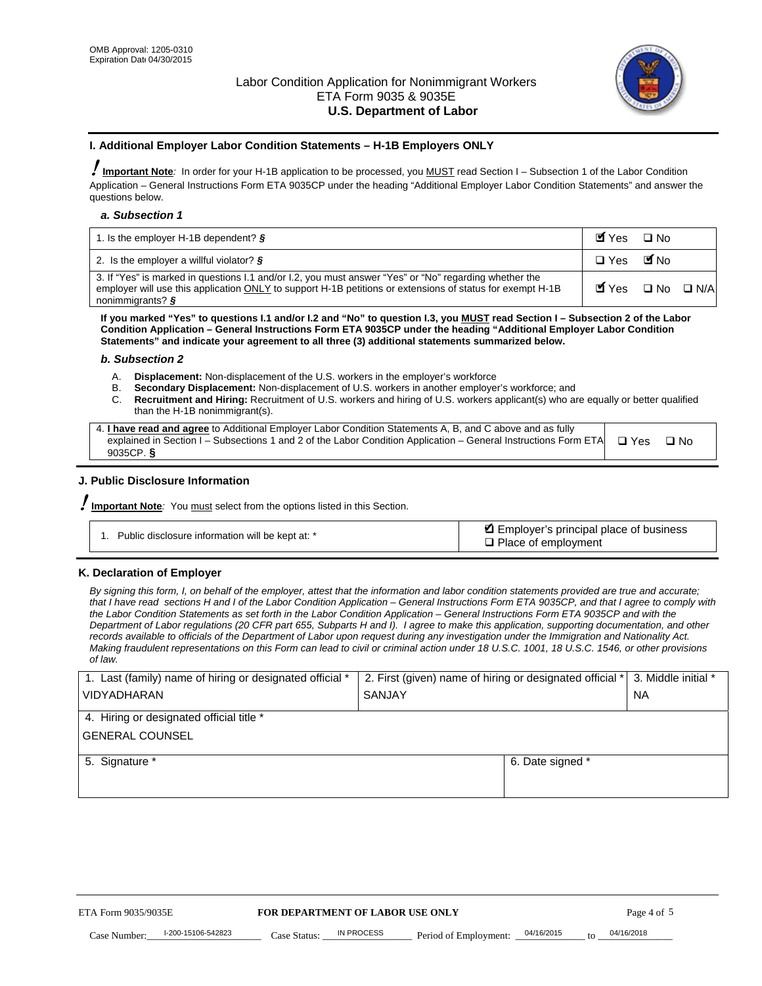

#### **I. Additional Employer Labor Condition Statements – H-1B Employers ONLY**

!**Important Note***:* In order for your H-1B application to be processed, you MUST read Section I – Subsection 1 of the Labor Condition Application – General Instructions Form ETA 9035CP under the heading "Additional Employer Labor Condition Statements" and answer the questions below.

#### *a. Subsection 1*

| 1. Is the employer H-1B dependent? $\S$                                                                                                                                                                                                 | Myes                                          | $\Box$ No              |  |
|-----------------------------------------------------------------------------------------------------------------------------------------------------------------------------------------------------------------------------------------|-----------------------------------------------|------------------------|--|
| 2. Is the employer a willful violator? $\frac{1}{2}$                                                                                                                                                                                    | $\Box$ Yes                                    | <b>M</b> <sub>No</sub> |  |
| 3. If "Yes" is marked in questions 1.1 and/or 1.2, you must answer "Yes" or "No" regarding whether the<br>employer will use this application ONLY to support H-1B petitions or extensions of status for exempt H-1B<br>nonimmigrants? § | $\blacksquare$ Yes $\square$ No $\square$ N/A |                        |  |

**If you marked "Yes" to questions I.1 and/or I.2 and "No" to question I.3, you MUST read Section I – Subsection 2 of the Labor Condition Application – General Instructions Form ETA 9035CP under the heading "Additional Employer Labor Condition Statements" and indicate your agreement to all three (3) additional statements summarized below.** 

#### *b. Subsection 2*

- A. **Displacement:** Non-displacement of the U.S. workers in the employer's workforce
- B. **Secondary Displacement:** Non-displacement of U.S. workers in another employer's workforce; and
- C. **Recruitment and Hiring:** Recruitment of U.S. workers and hiring of U.S. workers applicant(s) who are equally or better qualified than the H-1B nonimmigrant(s).

| 4. I have read and agree to Additional Employer Labor Condition Statements A, B, and C above and as fully                  |      |
|----------------------------------------------------------------------------------------------------------------------------|------|
| explained in Section I – Subsections 1 and 2 of the Labor Condition Application – General Instructions Form ETA $\Box$ Yes | ∩ Nח |
| 9035CP. $\delta$                                                                                                           |      |

# **J. Public Disclosure Information**

!**Important Note***:* You must select from the options listed in this Section.

| Public disclosure information will be kept at: * | Employer's principal place of business<br>$\Box$ Place of employment |
|--------------------------------------------------|----------------------------------------------------------------------|
|--------------------------------------------------|----------------------------------------------------------------------|

# **K. Declaration of Employer**

*By signing this form, I, on behalf of the employer, attest that the information and labor condition statements provided are true and accurate;*  that I have read sections H and I of the Labor Condition Application – General Instructions Form ETA 9035CP, and that I agree to comply with *the Labor Condition Statements as set forth in the Labor Condition Application – General Instructions Form ETA 9035CP and with the Department of Labor regulations (20 CFR part 655, Subparts H and I). I agree to make this application, supporting documentation, and other records available to officials of the Department of Labor upon request during any investigation under the Immigration and Nationality Act. Making fraudulent representations on this Form can lead to civil or criminal action under 18 U.S.C. 1001, 18 U.S.C. 1546, or other provisions of law.* 

| 1. Last (family) name of hiring or designated official * | 2. First (given) name of hiring or designated official * |                                       | 3. Middle initial * |
|----------------------------------------------------------|----------------------------------------------------------|---------------------------------------|---------------------|
| <b>VIDYADHARAN</b>                                       | <b>SANJAY</b>                                            |                                       | <b>NA</b>           |
| 4. Hiring or designated official title *                 |                                                          |                                       |                     |
| <b>GENERAL COUNSEL</b>                                   |                                                          |                                       |                     |
| 5. Signature *                                           |                                                          | 6. Date signed *                      |                     |
|                                                          |                                                          |                                       |                     |
|                                                          |                                                          |                                       |                     |
|                                                          |                                                          |                                       |                     |
|                                                          |                                                          |                                       |                     |
| FOR DEPARTMENT OF LABOR USE ONLY<br>ETA Form 9035/9035E  |                                                          |                                       | Page 4 of 5         |
| I-200-15106-542823<br>Case Number<br>Case Status:        | IN PROCESS<br>Period of Employment:                      | 04/16/2015<br>$\mathbf{f} \mathbf{O}$ | 04/16/2018          |